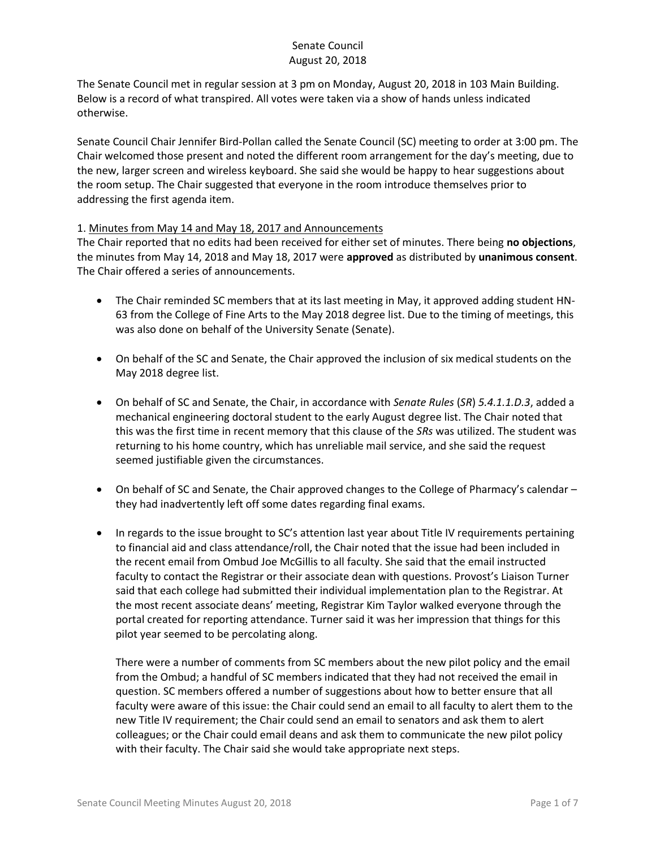The Senate Council met in regular session at 3 pm on Monday, August 20, 2018 in 103 Main Building. Below is a record of what transpired. All votes were taken via a show of hands unless indicated otherwise.

Senate Council Chair Jennifer Bird-Pollan called the Senate Council (SC) meeting to order at 3:00 pm. The Chair welcomed those present and noted the different room arrangement for the day's meeting, due to the new, larger screen and wireless keyboard. She said she would be happy to hear suggestions about the room setup. The Chair suggested that everyone in the room introduce themselves prior to addressing the first agenda item.

#### 1. Minutes from May 14 and May 18, 2017 and Announcements

The Chair reported that no edits had been received for either set of minutes. There being **no objections**, the minutes from May 14, 2018 and May 18, 2017 were **approved** as distributed by **unanimous consent**. The Chair offered a series of announcements.

- The Chair reminded SC members that at its last meeting in May, it approved adding student HN-63 from the College of Fine Arts to the May 2018 degree list. Due to the timing of meetings, this was also done on behalf of the University Senate (Senate).
- On behalf of the SC and Senate, the Chair approved the inclusion of six medical students on the May 2018 degree list.
- On behalf of SC and Senate, the Chair, in accordance with *Senate Rules* (*SR*) *5.4.1.1.D.3*, added a mechanical engineering doctoral student to the early August degree list. The Chair noted that this was the first time in recent memory that this clause of the *SRs* was utilized. The student was returning to his home country, which has unreliable mail service, and she said the request seemed justifiable given the circumstances.
- On behalf of SC and Senate, the Chair approved changes to the College of Pharmacy's calendar they had inadvertently left off some dates regarding final exams.
- In regards to the issue brought to SC's attention last year about Title IV requirements pertaining to financial aid and class attendance/roll, the Chair noted that the issue had been included in the recent email from Ombud Joe McGillis to all faculty. She said that the email instructed faculty to contact the Registrar or their associate dean with questions. Provost's Liaison Turner said that each college had submitted their individual implementation plan to the Registrar. At the most recent associate deans' meeting, Registrar Kim Taylor walked everyone through the portal created for reporting attendance. Turner said it was her impression that things for this pilot year seemed to be percolating along.

There were a number of comments from SC members about the new pilot policy and the email from the Ombud; a handful of SC members indicated that they had not received the email in question. SC members offered a number of suggestions about how to better ensure that all faculty were aware of this issue: the Chair could send an email to all faculty to alert them to the new Title IV requirement; the Chair could send an email to senators and ask them to alert colleagues; or the Chair could email deans and ask them to communicate the new pilot policy with their faculty. The Chair said she would take appropriate next steps.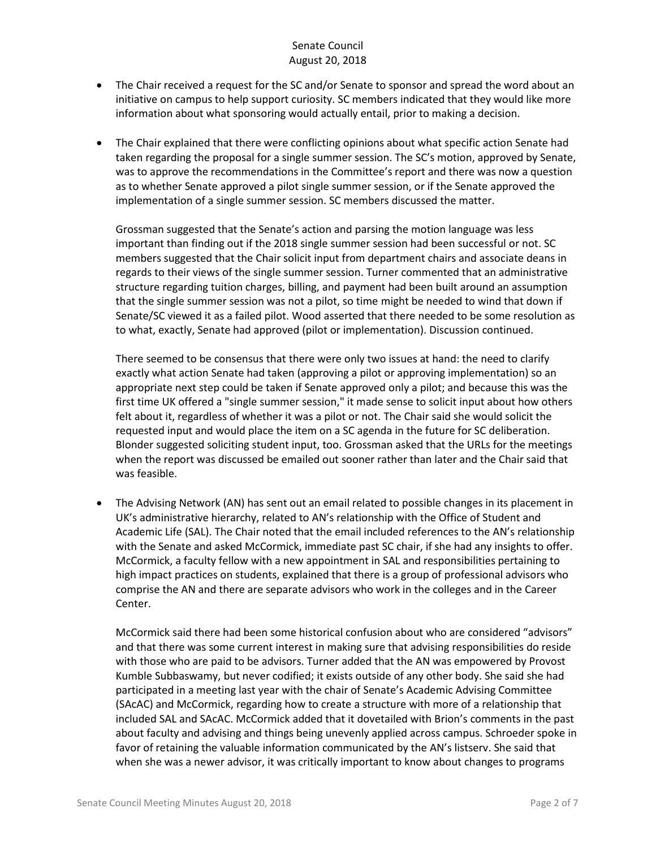- The Chair received a request for the SC and/or Senate to sponsor and spread the word about an initiative on campus to help support curiosity. SC members indicated that they would like more information about what sponsoring would actually entail, prior to making a decision.
- The Chair explained that there were conflicting opinions about what specific action Senate had taken regarding the proposal for a single summer session. The SC's motion, approved by Senate, was to approve the recommendations in the Committee's report and there was now a question as to whether Senate approved a pilot single summer session, or if the Senate approved the implementation of a single summer session. SC members discussed the matter.

Grossman suggested that the Senate's action and parsing the motion language was less important than finding out if the 2018 single summer session had been successful or not. SC members suggested that the Chair solicit input from department chairs and associate deans in regards to their views of the single summer session. Turner commented that an administrative structure regarding tuition charges, billing, and payment had been built around an assumption that the single summer session was not a pilot, so time might be needed to wind that down if Senate/SC viewed it as a failed pilot. Wood asserted that there needed to be some resolution as to what, exactly, Senate had approved (pilot or implementation). Discussion continued.

There seemed to be consensus that there were only two issues at hand: the need to clarify exactly what action Senate had taken (approving a pilot or approving implementation) so an appropriate next step could be taken if Senate approved only a pilot; and because this was the first time UK offered a "single summer session," it made sense to solicit input about how others felt about it, regardless of whether it was a pilot or not. The Chair said she would solicit the requested input and would place the item on a SC agenda in the future for SC deliberation. Blonder suggested soliciting student input, too. Grossman asked that the URLs for the meetings when the report was discussed be emailed out sooner rather than later and the Chair said that was feasible.

 The Advising Network (AN) has sent out an email related to possible changes in its placement in UK's administrative hierarchy, related to AN's relationship with the Office of Student and Academic Life (SAL). The Chair noted that the email included references to the AN's relationship with the Senate and asked McCormick, immediate past SC chair, if she had any insights to offer. McCormick, a faculty fellow with a new appointment in SAL and responsibilities pertaining to high impact practices on students, explained that there is a group of professional advisors who comprise the AN and there are separate advisors who work in the colleges and in the Career Center.

McCormick said there had been some historical confusion about who are considered "advisors" and that there was some current interest in making sure that advising responsibilities do reside with those who are paid to be advisors. Turner added that the AN was empowered by Provost Kumble Subbaswamy, but never codified; it exists outside of any other body. She said she had participated in a meeting last year with the chair of Senate's Academic Advising Committee (SAcAC) and McCormick, regarding how to create a structure with more of a relationship that included SAL and SAcAC. McCormick added that it dovetailed with Brion's comments in the past about faculty and advising and things being unevenly applied across campus. Schroeder spoke in favor of retaining the valuable information communicated by the AN's listserv. She said that when she was a newer advisor, it was critically important to know about changes to programs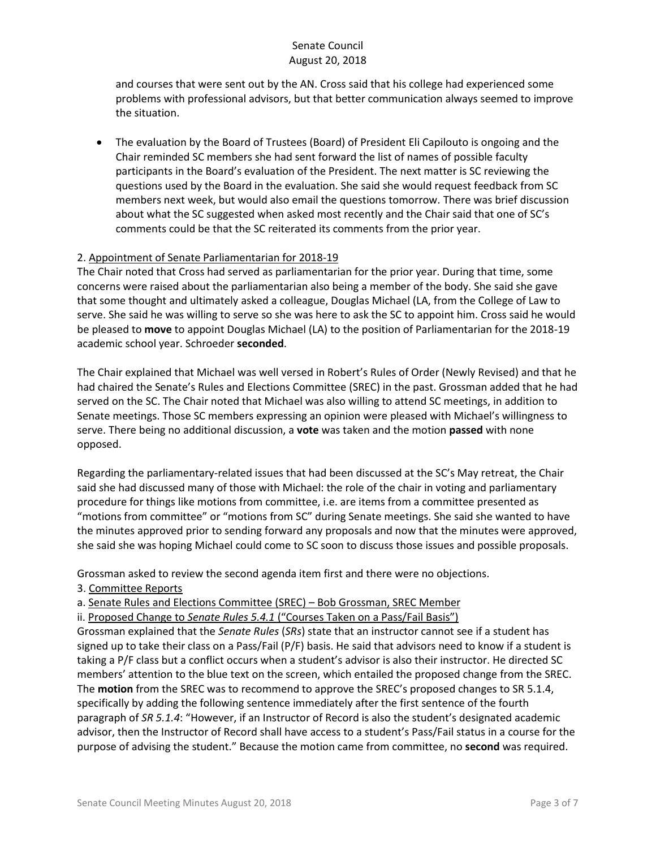and courses that were sent out by the AN. Cross said that his college had experienced some problems with professional advisors, but that better communication always seemed to improve the situation.

 The evaluation by the Board of Trustees (Board) of President Eli Capilouto is ongoing and the Chair reminded SC members she had sent forward the list of names of possible faculty participants in the Board's evaluation of the President. The next matter is SC reviewing the questions used by the Board in the evaluation. She said she would request feedback from SC members next week, but would also email the questions tomorrow. There was brief discussion about what the SC suggested when asked most recently and the Chair said that one of SC's comments could be that the SC reiterated its comments from the prior year.

# 2. Appointment of Senate Parliamentarian for 2018-19

The Chair noted that Cross had served as parliamentarian for the prior year. During that time, some concerns were raised about the parliamentarian also being a member of the body. She said she gave that some thought and ultimately asked a colleague, Douglas Michael (LA, from the College of Law to serve. She said he was willing to serve so she was here to ask the SC to appoint him. Cross said he would be pleased to **move** to appoint Douglas Michael (LA) to the position of Parliamentarian for the 2018-19 academic school year. Schroeder **seconded**.

The Chair explained that Michael was well versed in Robert's Rules of Order (Newly Revised) and that he had chaired the Senate's Rules and Elections Committee (SREC) in the past. Grossman added that he had served on the SC. The Chair noted that Michael was also willing to attend SC meetings, in addition to Senate meetings. Those SC members expressing an opinion were pleased with Michael's willingness to serve. There being no additional discussion, a **vote** was taken and the motion **passed** with none opposed.

Regarding the parliamentary-related issues that had been discussed at the SC's May retreat, the Chair said she had discussed many of those with Michael: the role of the chair in voting and parliamentary procedure for things like motions from committee, i.e. are items from a committee presented as "motions from committee" or "motions from SC" during Senate meetings. She said she wanted to have the minutes approved prior to sending forward any proposals and now that the minutes were approved, she said she was hoping Michael could come to SC soon to discuss those issues and possible proposals.

Grossman asked to review the second agenda item first and there were no objections.

#### 3. Committee Reports

a. Senate Rules and Elections Committee (SREC) – Bob Grossman, SREC Member

ii. Proposed Change to *Senate Rules 5.4.1* ("Courses Taken on a Pass/Fail Basis")

Grossman explained that the *Senate Rules* (*SRs*) state that an instructor cannot see if a student has signed up to take their class on a Pass/Fail (P/F) basis. He said that advisors need to know if a student is taking a P/F class but a conflict occurs when a student's advisor is also their instructor. He directed SC members' attention to the blue text on the screen, which entailed the proposed change from the SREC. The **motion** from the SREC was to recommend to approve the SREC's proposed changes to SR 5.1.4, specifically by adding the following sentence immediately after the first sentence of the fourth paragraph of *SR 5.1.4*: "However, if an Instructor of Record is also the student's designated academic advisor, then the Instructor of Record shall have access to a student's Pass/Fail status in a course for the purpose of advising the student." Because the motion came from committee, no **second** was required.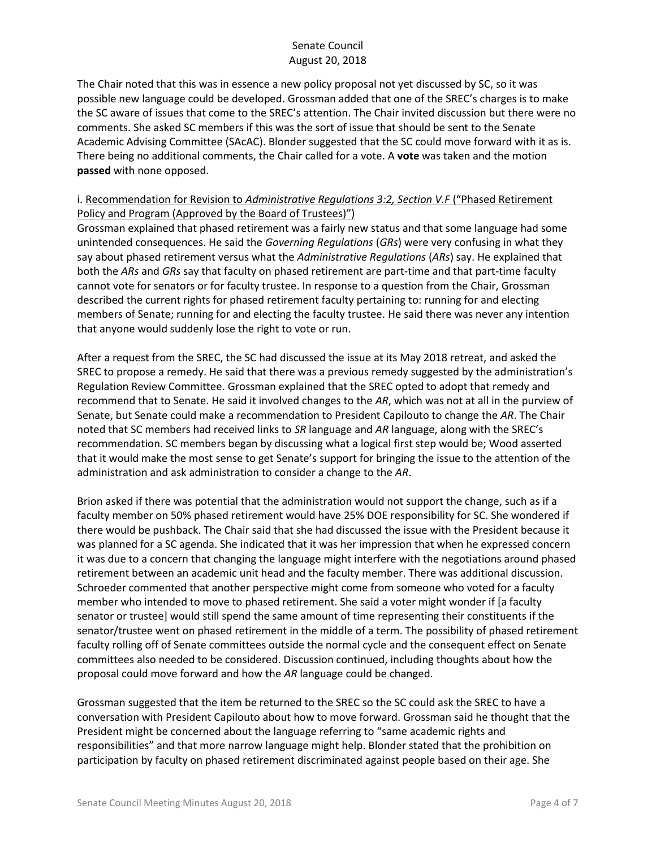The Chair noted that this was in essence a new policy proposal not yet discussed by SC, so it was possible new language could be developed. Grossman added that one of the SREC's charges is to make the SC aware of issues that come to the SREC's attention. The Chair invited discussion but there were no comments. She asked SC members if this was the sort of issue that should be sent to the Senate Academic Advising Committee (SAcAC). Blonder suggested that the SC could move forward with it as is. There being no additional comments, the Chair called for a vote. A **vote** was taken and the motion **passed** with none opposed.

#### i. Recommendation for Revision to *Administrative Regulations 3:2, Section V.F* ("Phased Retirement Policy and Program (Approved by the Board of Trustees)")

Grossman explained that phased retirement was a fairly new status and that some language had some unintended consequences. He said the *Governing Regulations* (*GRs*) were very confusing in what they say about phased retirement versus what the *Administrative Regulations* (*ARs*) say. He explained that both the *ARs* and *GRs* say that faculty on phased retirement are part-time and that part-time faculty cannot vote for senators or for faculty trustee. In response to a question from the Chair, Grossman described the current rights for phased retirement faculty pertaining to: running for and electing members of Senate; running for and electing the faculty trustee. He said there was never any intention that anyone would suddenly lose the right to vote or run.

After a request from the SREC, the SC had discussed the issue at its May 2018 retreat, and asked the SREC to propose a remedy. He said that there was a previous remedy suggested by the administration's Regulation Review Committee. Grossman explained that the SREC opted to adopt that remedy and recommend that to Senate. He said it involved changes to the *AR*, which was not at all in the purview of Senate, but Senate could make a recommendation to President Capilouto to change the *AR*. The Chair noted that SC members had received links to *SR* language and *AR* language, along with the SREC's recommendation. SC members began by discussing what a logical first step would be; Wood asserted that it would make the most sense to get Senate's support for bringing the issue to the attention of the administration and ask administration to consider a change to the *AR*.

Brion asked if there was potential that the administration would not support the change, such as if a faculty member on 50% phased retirement would have 25% DOE responsibility for SC. She wondered if there would be pushback. The Chair said that she had discussed the issue with the President because it was planned for a SC agenda. She indicated that it was her impression that when he expressed concern it was due to a concern that changing the language might interfere with the negotiations around phased retirement between an academic unit head and the faculty member. There was additional discussion. Schroeder commented that another perspective might come from someone who voted for a faculty member who intended to move to phased retirement. She said a voter might wonder if [a faculty senator or trustee] would still spend the same amount of time representing their constituents if the senator/trustee went on phased retirement in the middle of a term. The possibility of phased retirement faculty rolling off of Senate committees outside the normal cycle and the consequent effect on Senate committees also needed to be considered. Discussion continued, including thoughts about how the proposal could move forward and how the *AR* language could be changed.

Grossman suggested that the item be returned to the SREC so the SC could ask the SREC to have a conversation with President Capilouto about how to move forward. Grossman said he thought that the President might be concerned about the language referring to "same academic rights and responsibilities" and that more narrow language might help. Blonder stated that the prohibition on participation by faculty on phased retirement discriminated against people based on their age. She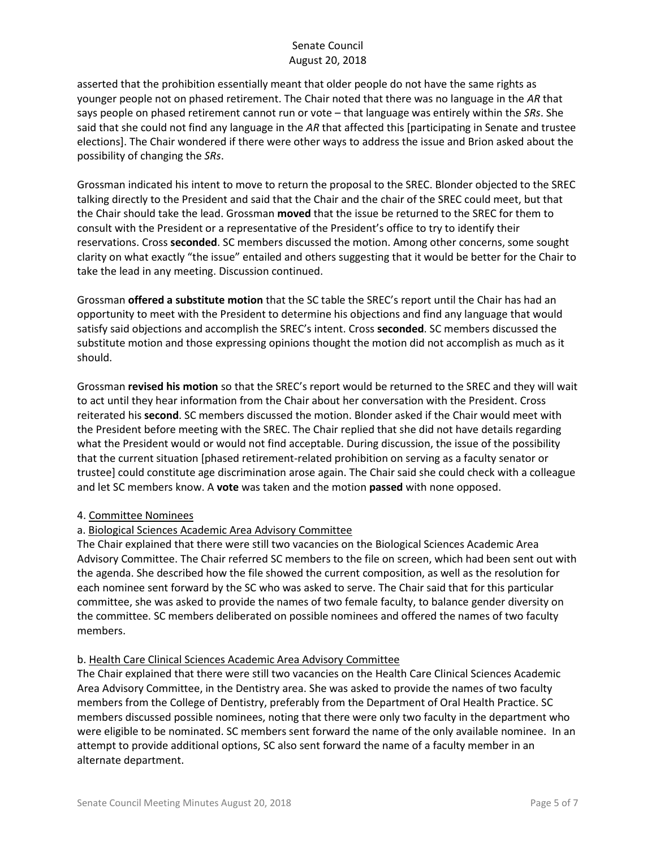asserted that the prohibition essentially meant that older people do not have the same rights as younger people not on phased retirement. The Chair noted that there was no language in the *AR* that says people on phased retirement cannot run or vote – that language was entirely within the *SRs*. She said that she could not find any language in the *AR* that affected this [participating in Senate and trustee elections]. The Chair wondered if there were other ways to address the issue and Brion asked about the possibility of changing the *SRs*.

Grossman indicated his intent to move to return the proposal to the SREC. Blonder objected to the SREC talking directly to the President and said that the Chair and the chair of the SREC could meet, but that the Chair should take the lead. Grossman **moved** that the issue be returned to the SREC for them to consult with the President or a representative of the President's office to try to identify their reservations. Cross **seconded**. SC members discussed the motion. Among other concerns, some sought clarity on what exactly "the issue" entailed and others suggesting that it would be better for the Chair to take the lead in any meeting. Discussion continued.

Grossman **offered a substitute motion** that the SC table the SREC's report until the Chair has had an opportunity to meet with the President to determine his objections and find any language that would satisfy said objections and accomplish the SREC's intent. Cross **seconded**. SC members discussed the substitute motion and those expressing opinions thought the motion did not accomplish as much as it should.

Grossman **revised his motion** so that the SREC's report would be returned to the SREC and they will wait to act until they hear information from the Chair about her conversation with the President. Cross reiterated his **second**. SC members discussed the motion. Blonder asked if the Chair would meet with the President before meeting with the SREC. The Chair replied that she did not have details regarding what the President would or would not find acceptable. During discussion, the issue of the possibility that the current situation [phased retirement-related prohibition on serving as a faculty senator or trustee] could constitute age discrimination arose again. The Chair said she could check with a colleague and let SC members know. A **vote** was taken and the motion **passed** with none opposed.

# 4. Committee Nominees

# a. Biological Sciences Academic Area Advisory Committee

The Chair explained that there were still two vacancies on the Biological Sciences Academic Area Advisory Committee. The Chair referred SC members to the file on screen, which had been sent out with the agenda. She described how the file showed the current composition, as well as the resolution for each nominee sent forward by the SC who was asked to serve. The Chair said that for this particular committee, she was asked to provide the names of two female faculty, to balance gender diversity on the committee. SC members deliberated on possible nominees and offered the names of two faculty members.

#### b. Health Care Clinical Sciences Academic Area Advisory Committee

The Chair explained that there were still two vacancies on the Health Care Clinical Sciences Academic Area Advisory Committee, in the Dentistry area. She was asked to provide the names of two faculty members from the College of Dentistry, preferably from the Department of Oral Health Practice. SC members discussed possible nominees, noting that there were only two faculty in the department who were eligible to be nominated. SC members sent forward the name of the only available nominee. In an attempt to provide additional options, SC also sent forward the name of a faculty member in an alternate department.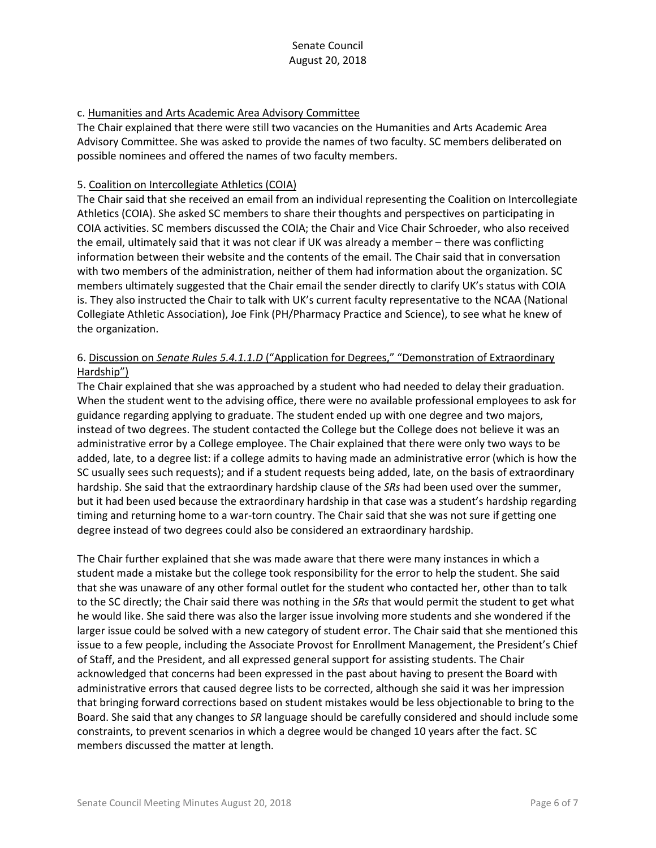#### c. Humanities and Arts Academic Area Advisory Committee

The Chair explained that there were still two vacancies on the Humanities and Arts Academic Area Advisory Committee. She was asked to provide the names of two faculty. SC members deliberated on possible nominees and offered the names of two faculty members.

#### 5. Coalition on Intercollegiate Athletics (COIA)

The Chair said that she received an email from an individual representing the Coalition on Intercollegiate Athletics (COIA). She asked SC members to share their thoughts and perspectives on participating in COIA activities. SC members discussed the COIA; the Chair and Vice Chair Schroeder, who also received the email, ultimately said that it was not clear if UK was already a member – there was conflicting information between their website and the contents of the email. The Chair said that in conversation with two members of the administration, neither of them had information about the organization. SC members ultimately suggested that the Chair email the sender directly to clarify UK's status with COIA is. They also instructed the Chair to talk with UK's current faculty representative to the NCAA (National Collegiate Athletic Association), Joe Fink (PH/Pharmacy Practice and Science), to see what he knew of the organization.

## 6. Discussion on *Senate Rules 5.4.1.1.D* ("Application for Degrees," "Demonstration of Extraordinary Hardship")

The Chair explained that she was approached by a student who had needed to delay their graduation. When the student went to the advising office, there were no available professional employees to ask for guidance regarding applying to graduate. The student ended up with one degree and two majors, instead of two degrees. The student contacted the College but the College does not believe it was an administrative error by a College employee. The Chair explained that there were only two ways to be added, late, to a degree list: if a college admits to having made an administrative error (which is how the SC usually sees such requests); and if a student requests being added, late, on the basis of extraordinary hardship. She said that the extraordinary hardship clause of the *SRs* had been used over the summer, but it had been used because the extraordinary hardship in that case was a student's hardship regarding timing and returning home to a war-torn country. The Chair said that she was not sure if getting one degree instead of two degrees could also be considered an extraordinary hardship.

The Chair further explained that she was made aware that there were many instances in which a student made a mistake but the college took responsibility for the error to help the student. She said that she was unaware of any other formal outlet for the student who contacted her, other than to talk to the SC directly; the Chair said there was nothing in the *SRs* that would permit the student to get what he would like. She said there was also the larger issue involving more students and she wondered if the larger issue could be solved with a new category of student error. The Chair said that she mentioned this issue to a few people, including the Associate Provost for Enrollment Management, the President's Chief of Staff, and the President, and all expressed general support for assisting students. The Chair acknowledged that concerns had been expressed in the past about having to present the Board with administrative errors that caused degree lists to be corrected, although she said it was her impression that bringing forward corrections based on student mistakes would be less objectionable to bring to the Board. She said that any changes to *SR* language should be carefully considered and should include some constraints, to prevent scenarios in which a degree would be changed 10 years after the fact. SC members discussed the matter at length.